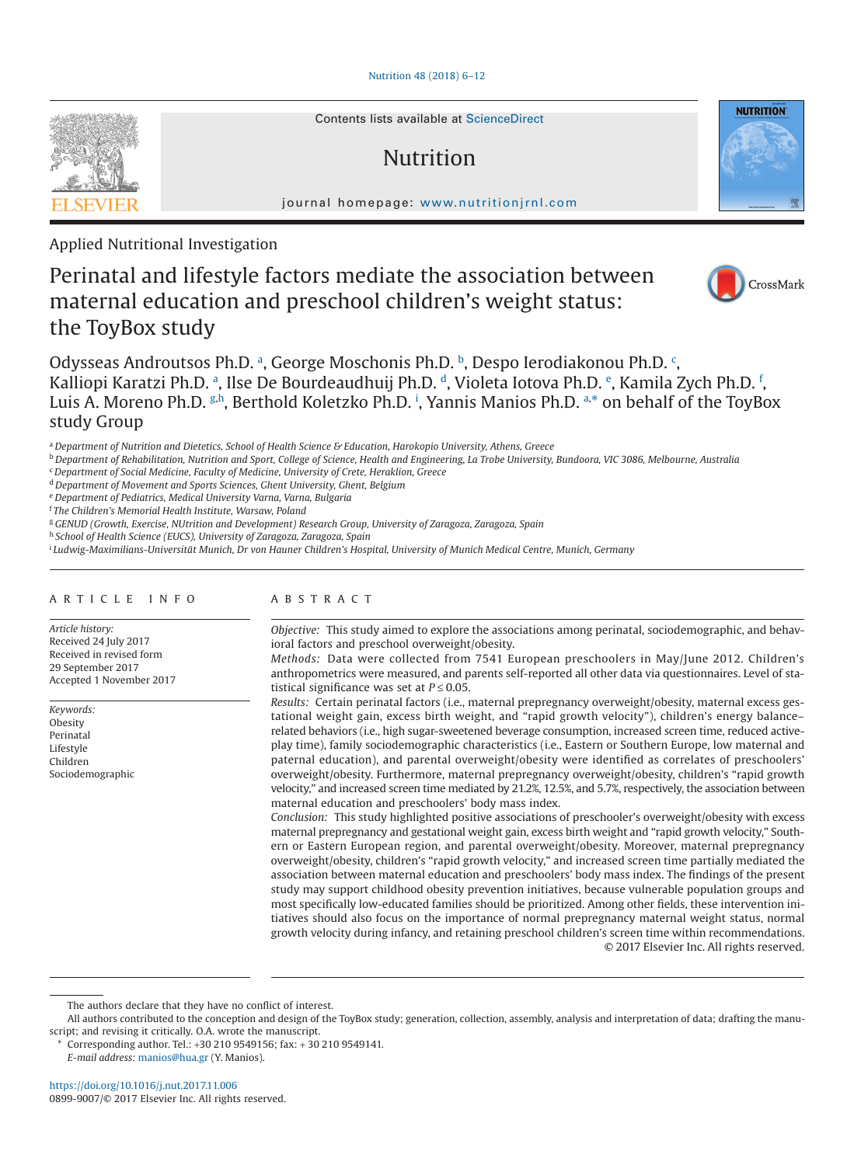## [Nutrition 48 \(2018\) 6–12](http://dx.doi.org/10.1016/j.nut.2017.11.006)

Contents lists available at [ScienceDirect](http://www.sciencedirect.com/science/journal/08999007)

# Nutrition

journal homepage: [www.nutritionjrnl.com](http://www.nutritionjrnl.com)

Applied Nutritional Investigation

# Perinatal and lifestyle factors mediate the association between maternal education and preschool children's weight status: the ToyBox study



**NUTRITION** 

Odysse[a](#page-0-0)s Androutsos Ph.D. a, George Moschonis Ph.D. [b](#page-0-1), Despo Ierodiakonou Ph.D. [c](#page-0-2), K[a](#page-0-0)lliopi Karatzi Ph.D. ª, Ils[e](#page-0-4) De Bourdeaudhuij Ph.D. ª, Violeta Iotova Ph.D. º, Kamila Zych Ph.D. <sup>ŗ</sup>, Luis A. Moreno Ph.D. <sup>[g,](#page-0-6)h</sup>, Berthold Koletzko Ph.D. <sup>[i](#page-0-8)</sup>, Yannis Manios Ph.D. <sup>[a,](#page-0-0)[\\*](#page-0-9)</sup> on behalf of the ToyBox study Group

<span id="page-0-1"></span><sup>b</sup> *Department of Rehabilitation, Nutrition and Sport, College of Science, Health and Engineering, La Trobe University, Bundoora, VIC 3086, Melbourne, Australia*

<span id="page-0-2"></span><sup>c</sup> *Department of Social Medicine, Faculty of Medicine, University of Crete, Heraklion, Greece*

<span id="page-0-3"></span><sup>d</sup> *Department of Movement and Sports Sciences, Ghent University, Ghent, Belgium*

<span id="page-0-4"></span><sup>e</sup> *Department of Pediatrics, Medical University Varna, Varna, Bulgaria*

<span id="page-0-5"></span><sup>f</sup> *The Children's Memorial Health Institute, Warsaw, Poland*

<span id="page-0-6"></span><sup>g</sup> *GENUD (Growth, Exercise, NUtrition and Development) Research Group, University of Zaragoza, Zaragoza, Spain*

<span id="page-0-7"></span><sup>h</sup> *School of Health Science (EUCS), University of Zaragoza, Zaragoza, Spain*

<span id="page-0-8"></span><sup>i</sup> *Ludwig-Maximilians-Universität Munich, Dr von Hauner Children's Hospital, University of Munich Medical Centre, Munich, Germany*

### ARTICLE INFO

*Article history:* Received 24 July 2017 Received in revised form 29 September 2017 Accepted 1 November 2017

*Keywords:* Obesity Perinatal Lifestyle Children Sociodemographic

# ABSTRACT

*Objective:* This study aimed to explore the associations among perinatal, sociodemographic, and behavioral factors and preschool overweight/obesity.

*Methods:* Data were collected from 7541 European preschoolers in May/June 2012. Children's anthropometrics were measured, and parents self-reported all other data via questionnaires. Level of statistical significance was set at  $P \le 0.05$ .

*Results:* Certain perinatal factors (i.e., maternal prepregnancy overweight/obesity, maternal excess gestational weight gain, excess birth weight, and "rapid growth velocity"), children's energy balance– related behaviors (i.e., high sugar-sweetened beverage consumption, increased screen time, reduced activeplay time), family sociodemographic characteristics (i.e., Eastern or Southern Europe, low maternal and paternal education), and parental overweight/obesity were identified as correlates of preschoolers' overweight/obesity. Furthermore, maternal prepregnancy overweight/obesity, children's "rapid growth velocity," and increased screen time mediated by 21.2%, 12.5%, and 5.7%, respectively, the association between maternal education and preschoolers' body mass index.

*Conclusion:* This study highlighted positive associations of preschooler's overweight/obesity with excess maternal prepregnancy and gestational weight gain, excess birth weight and "rapid growth velocity," Southern or Eastern European region, and parental overweight/obesity. Moreover, maternal prepregnancy overweight/obesity, children's "rapid growth velocity," and increased screen time partially mediated the association between maternal education and preschoolers' body mass index. The findings of the present study may support childhood obesity prevention initiatives, because vulnerable population groups and most specifically low-educated families should be prioritized. Among other fields, these intervention initiatives should also focus on the importance of normal prepregnancy maternal weight status, normal growth velocity during infancy, and retaining preschool children's screen time within recommendations. © 2017 Elsevier Inc. All rights reserved.

Corresponding author. Tel.: +30 210 9549156; fax: + 30 210 9549141.

*E-mail address:* [manios@hua.gr](mailto:manios@hua.gr) (Y. Manios).

<span id="page-0-0"></span><sup>a</sup> *Department of Nutrition and Dietetics, School of Health Science & Education, Harokopio University, Athens, Greece*

The authors declare that they have no conflict of interest.

<span id="page-0-9"></span>All authors contributed to the conception and design of the ToyBox study; generation, collection, assembly, analysis and interpretation of data; drafting the manuscript; and revising it critically. O.A. wrote the manuscript.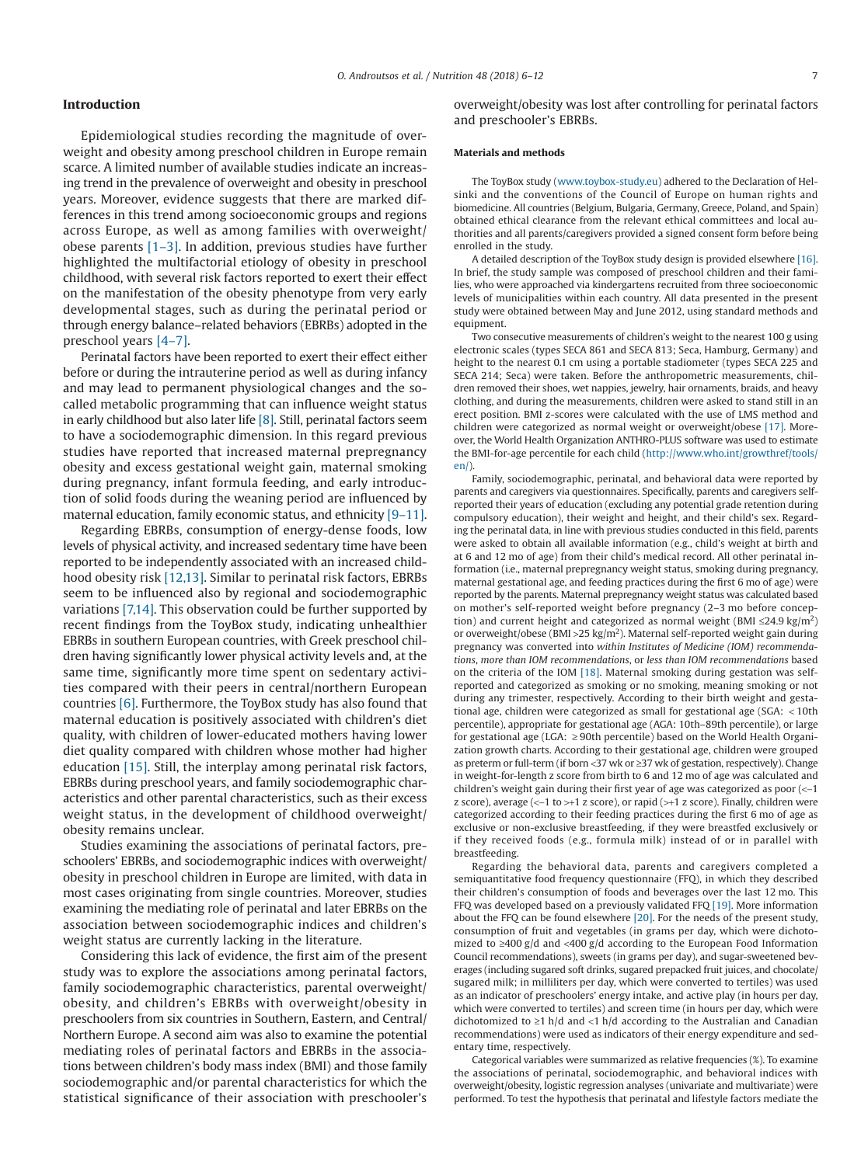# **Introduction**

Epidemiological studies recording the magnitude of overweight and obesity among preschool children in Europe remain scarce. A limited number of available studies indicate an increasing trend in the prevalence of overweight and obesity in preschool years. Moreover, evidence suggests that there are marked differences in this trend among socioeconomic groups and regions across Europe, as well as among families with overweight/ obese parents  $[1-3]$ . In addition, previous studies have further highlighted the multifactorial etiology of obesity in preschool childhood, with several risk factors reported to exert their effect on the manifestation of the obesity phenotype from very early developmental stages, such as during the perinatal period or through energy balance–related behaviors (EBRBs) adopted in the preschool years [\[4–7\].](#page-6-1)

Perinatal factors have been reported to exert their effect either before or during the intrauterine period as well as during infancy and may lead to permanent physiological changes and the socalled metabolic programming that can influence weight status in early childhood but also later life [\[8\].](#page-6-2) Still, perinatal factors seem to have a sociodemographic dimension. In this regard previous studies have reported that increased maternal prepregnancy obesity and excess gestational weight gain, maternal smoking during pregnancy, infant formula feeding, and early introduction of solid foods during the weaning period are influenced by maternal education, family economic status, and ethnicity [\[9–11\].](#page-6-3)

Regarding EBRBs, consumption of energy-dense foods, low levels of physical activity, and increased sedentary time have been reported to be independently associated with an increased childhood obesity risk [\[12,13\].](#page-6-4) Similar to perinatal risk factors, EBRBs seem to be influenced also by regional and sociodemographic variations [\[7,14\].](#page-6-5) This observation could be further supported by recent findings from the ToyBox study, indicating unhealthier EBRBs in southern European countries, with Greek preschool children having significantly lower physical activity levels and, at the same time, significantly more time spent on sedentary activities compared with their peers in central/northern European countries [\[6\].](#page-6-6) Furthermore, the ToyBox study has also found that maternal education is positively associated with children's diet quality, with children of lower-educated mothers having lower diet quality compared with children whose mother had higher education [\[15\].](#page-6-7) Still, the interplay among perinatal risk factors, EBRBs during preschool years, and family sociodemographic characteristics and other parental characteristics, such as their excess weight status, in the development of childhood overweight/ obesity remains unclear.

Studies examining the associations of perinatal factors, preschoolers' EBRBs, and sociodemographic indices with overweight/ obesity in preschool children in Europe are limited, with data in most cases originating from single countries. Moreover, studies examining the mediating role of perinatal and later EBRBs on the association between sociodemographic indices and children's weight status are currently lacking in the literature.

Considering this lack of evidence, the first aim of the present study was to explore the associations among perinatal factors, family sociodemographic characteristics, parental overweight/ obesity, and children's EBRBs with overweight/obesity in preschoolers from six countries in Southern, Eastern, and Central/ Northern Europe. A second aim was also to examine the potential mediating roles of perinatal factors and EBRBs in the associations between children's body mass index (BMI) and those family sociodemographic and/or parental characteristics for which the statistical significance of their association with preschooler's

overweight/obesity was lost after controlling for perinatal factors and preschooler's EBRBs.

#### **Materials and methods**

The ToyBox study [\(www.toybox-study.eu\)](http://www.toybox-study.eu) adhered to the Declaration of Helsinki and the conventions of the Council of Europe on human rights and biomedicine. All countries (Belgium, Bulgaria, Germany, Greece, Poland, and Spain) obtained ethical clearance from the relevant ethical committees and local authorities and all parents/caregivers provided a signed consent form before being enrolled in the study.

A detailed description of the ToyBox study design is provided elsewhere [\[16\].](#page-6-8) In brief, the study sample was composed of preschool children and their families, who were approached via kindergartens recruited from three socioeconomic levels of municipalities within each country. All data presented in the present study were obtained between May and June 2012, using standard methods and equipment.

Two consecutive measurements of children's weight to the nearest 100 g using electronic scales (types SECA 861 and SECA 813; Seca, Hamburg, Germany) and height to the nearest 0.1 cm using a portable stadiometer (types SECA 225 and SECA 214; Seca) were taken. Before the anthropometric measurements, children removed their shoes, wet nappies, jewelry, hair ornaments, braids, and heavy clothing, and during the measurements, children were asked to stand still in an erect position. BMI z-scores were calculated with the use of LMS method and children were categorized as normal weight or overweight/obese [\[17\].](#page-6-9) Moreover, the World Health Organization ANTHRO-PLUS software was used to estimate the BMI-for-age percentile for each child [\(http://www.who.int/growthref/tools/](http://www.who.int/growthref/tools/en/) [en/\)](http://www.who.int/growthref/tools/en/).

Family, sociodemographic, perinatal, and behavioral data were reported by parents and caregivers via questionnaires. Specifically, parents and caregivers selfreported their years of education (excluding any potential grade retention during compulsory education), their weight and height, and their child's sex. Regarding the perinatal data, in line with previous studies conducted in this field, parents were asked to obtain all available information (e.g., child's weight at birth and at 6 and 12 mo of age) from their child's medical record. All other perinatal information (i.e., maternal prepregnancy weight status, smoking during pregnancy, maternal gestational age, and feeding practices during the first 6 mo of age) were reported by the parents. Maternal prepregnancy weight status was calculated based on mother's self-reported weight before pregnancy (2–3 mo before conception) and current height and categorized as normal weight (BMI  $\leq$ 24.9 kg/m<sup>2</sup>) or overweight/obese (BMI >25 kg/m2). Maternal self-reported weight gain during pregnancy was converted into *within Institutes of Medicine (IOM) recommendations*, *more than IOM recommendations*, or *less than IOM recommendations* based on the criteria of the IOM [\[18\].](#page-6-10) Maternal smoking during gestation was selfreported and categorized as smoking or no smoking, meaning smoking or not during any trimester, respectively. According to their birth weight and gestational age, children were categorized as small for gestational age (SGA: < 10th percentile), appropriate for gestational age (AGA: 10th–89th percentile), or large for gestational age (LGA: ≥ 90th percentile) based on the World Health Organization growth charts. According to their gestational age, children were grouped as preterm or full-term (if born <37 wk or ≥37 wk of gestation, respectively). Change in weight-for-length z score from birth to 6 and 12 mo of age was calculated and children's weight gain during their first year of age was categorized as poor (<−1 z score), average (<−1 to >+1 z score), or rapid (>+1 z score). Finally, children were categorized according to their feeding practices during the first 6 mo of age as exclusive or non-exclusive breastfeeding, if they were breastfed exclusively or if they received foods (e.g., formula milk) instead of or in parallel with breastfeeding.

Regarding the behavioral data, parents and caregivers completed a semiquantitative food frequency questionnaire (FFQ), in which they described their children's consumption of foods and beverages over the last 12 mo. This FFQ was developed based on a previously validated FFQ [\[19\].](#page-6-11) More information about the FFQ can be found elsewhere [\[20\].](#page-6-12) For the needs of the present study, consumption of fruit and vegetables (in grams per day, which were dichotomized to ≥400 g/d and <400 g/d according to the European Food Information Council recommendations), sweets (in grams per day), and sugar-sweetened beverages (including sugared soft drinks, sugared prepacked fruit juices, and chocolate/ sugared milk; in milliliters per day, which were converted to tertiles) was used as an indicator of preschoolers' energy intake, and active play (in hours per day, which were converted to tertiles) and screen time (in hours per day, which were dichotomized to ≥1 h/d and <1 h/d according to the Australian and Canadian recommendations) were used as indicators of their energy expenditure and sedentary time, respectively.

Categorical variables were summarized as relative frequencies (%). To examine the associations of perinatal, sociodemographic, and behavioral indices with overweight/obesity, logistic regression analyses (univariate and multivariate) were performed. To test the hypothesis that perinatal and lifestyle factors mediate the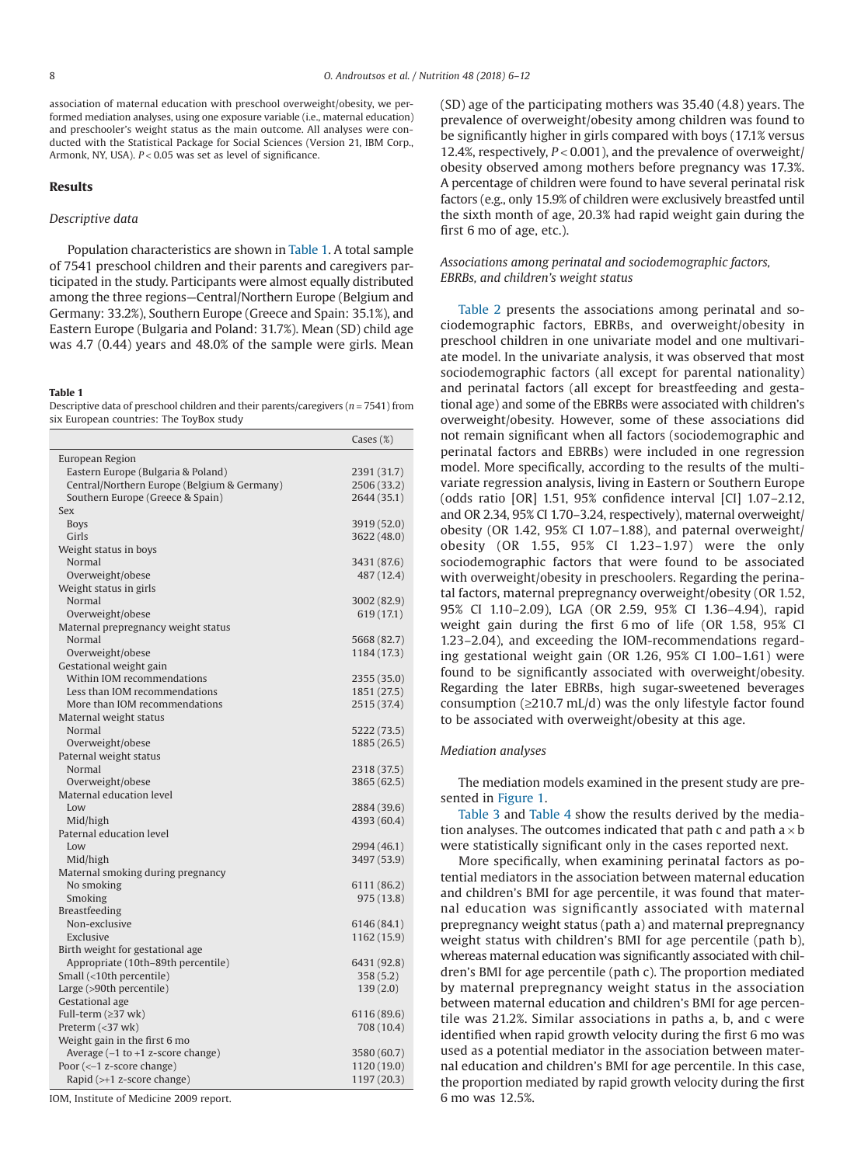association of maternal education with preschool overweight/obesity, we performed mediation analyses, using one exposure variable (i.e., maternal education) and preschooler's weight status as the main outcome. All analyses were conducted with the Statistical Package for Social Sciences (Version 21, IBM Corp., Armonk, NY, USA). *P* < 0.05 was set as level of significance.

### **Results**

#### *Descriptive data*

Population characteristics are shown in [Table 1.](#page-2-0) A total sample of 7541 preschool children and their parents and caregivers participated in the study. Participants were almost equally distributed among the three regions—Central/Northern Europe (Belgium and Germany: 33.2%), Southern Europe (Greece and Spain: 35.1%), and Eastern Europe (Bulgaria and Poland: 31.7%). Mean (SD) child age was 4.7 (0.44) years and 48.0% of the sample were girls. Mean

#### <span id="page-2-0"></span>**Table 1**

Descriptive data of preschool children and their parents/caregivers (*n* = 7541) from six European countries: The ToyBox study

|                                             | $\text{Cases} \left( \%\right)$ |
|---------------------------------------------|---------------------------------|
| European Region                             |                                 |
| Eastern Europe (Bulgaria & Poland)          | 2391 (31.7)                     |
| Central/Northern Europe (Belgium & Germany) | 2506 (33.2)                     |
| Southern Europe (Greece & Spain)            | 2644 (35.1)                     |
| Sex                                         |                                 |
| <b>Boys</b>                                 | 3919 (52.0)                     |
| Girls                                       | 3622 (48.0)                     |
| Weight status in boys                       |                                 |
| Normal                                      | 3431 (87.6)                     |
| Overweight/obese                            | 487 (12.4)                      |
| Weight status in girls                      |                                 |
| Normal                                      | 3002 (82.9)                     |
| Overweight/obese                            | 619 (17.1)                      |
| Maternal prepregnancy weight status         |                                 |
| Normal                                      | 5668 (82.7)                     |
| Overweight/obese                            | 1184 (17.3)                     |
| Gestational weight gain                     |                                 |
| Within IOM recommendations                  | 2355 (35.0)                     |
| Less than IOM recommendations               | 1851 (27.5)                     |
| More than IOM recommendations               | 2515 (37.4)                     |
| Maternal weight status                      |                                 |
| Normal                                      | 5222 (73.5)                     |
| Overweight/obese                            | 1885 (26.5)                     |
| Paternal weight status                      |                                 |
| Normal                                      | 2318 (37.5)                     |
| Overweight/obese                            | 3865 (62.5)                     |
| Maternal education level                    |                                 |
| Low                                         | 2884 (39.6)                     |
| Mid/high                                    | 4393 (60.4)                     |
| Paternal education level                    |                                 |
| Low                                         | 2994 (46.1)                     |
| Mid/high                                    | 3497 (53.9)                     |
| Maternal smoking during pregnancy           |                                 |
| No smoking                                  | 6111 (86.2)                     |
| Smoking                                     | 975 (13.8)                      |
| Breastfeeding                               |                                 |
| Non-exclusive                               | 6146 (84.1)                     |
| Exclusive                                   | 1162 (15.9)                     |
| Birth weight for gestational age            |                                 |
| Appropriate (10th-89th percentile)          | 6431 (92.8)                     |
| Small (<10th percentile)                    | 358 (5.2)                       |
| Large (>90th percentile)                    | 139(2.0)                        |
| Gestational age                             |                                 |
| Full-term (≥37 wk)                          | 6116 (89.6)                     |
| Preterm (<37 wk)                            | 708 (10.4)                      |
| Weight gain in the first 6 mo               |                                 |
| Average $(-1$ to $+1$ z-score change)       | 3580 (60.7)                     |
| Poor $(<-1$ z-score change)                 | 1120 (19.0)                     |
| Rapid $(\rightarrow +1)$ z-score change)    | 1197 (20.3)                     |

IOM, Institute of Medicine 2009 report.

(SD) age of the participating mothers was 35.40 (4.8) years. The prevalence of overweight/obesity among children was found to be significantly higher in girls compared with boys (17.1% versus 12.4%, respectively, *P* < 0.001), and the prevalence of overweight/ obesity observed among mothers before pregnancy was 17.3%. A percentage of children were found to have several perinatal risk factors (e.g., only 15.9% of children were exclusively breastfed until the sixth month of age, 20.3% had rapid weight gain during the first 6 mo of age, etc.).

# *Associations among perinatal and sociodemographic factors, EBRBs, and children's weight status*

[Table 2](#page-3-0) presents the associations among perinatal and sociodemographic factors, EBRBs, and overweight/obesity in preschool children in one univariate model and one multivariate model. In the univariate analysis, it was observed that most sociodemographic factors (all except for parental nationality) and perinatal factors (all except for breastfeeding and gestational age) and some of the EBRBs were associated with children's overweight/obesity. However, some of these associations did not remain significant when all factors (sociodemographic and perinatal factors and EBRBs) were included in one regression model. More specifically, according to the results of the multivariate regression analysis, living in Eastern or Southern Europe (odds ratio [OR] 1.51, 95% confidence interval [CI] 1.07–2.12, and OR 2.34, 95% CI 1.70–3.24, respectively), maternal overweight/ obesity (OR 1.42, 95% CI 1.07–1.88), and paternal overweight/ obesity (OR 1.55, 95% CI 1.23–1.97) were the only sociodemographic factors that were found to be associated with overweight/obesity in preschoolers. Regarding the perinatal factors, maternal prepregnancy overweight/obesity (OR 1.52, 95% CI 1.10–2.09), LGA (OR 2.59, 95% CI 1.36–4.94), rapid weight gain during the first 6 mo of life (OR 1.58, 95% CI 1.23–2.04), and exceeding the IOM-recommendations regarding gestational weight gain (OR 1.26, 95% CI 1.00–1.61) were found to be significantly associated with overweight/obesity. Regarding the later EBRBs, high sugar-sweetened beverages consumption ( $\geq$ 210.7 mL/d) was the only lifestyle factor found to be associated with overweight/obesity at this age.

#### *Mediation analyses*

The mediation models examined in the present study are presented in [Figure 1.](#page-4-0)

[Table 3](#page-4-1) and [Table 4](#page-4-2) show the results derived by the mediation analyses. The outcomes indicated that path c and path  $a \times b$ were statistically significant only in the cases reported next.

More specifically, when examining perinatal factors as potential mediators in the association between maternal education and children's BMI for age percentile, it was found that maternal education was significantly associated with maternal prepregnancy weight status (path a) and maternal prepregnancy weight status with children's BMI for age percentile (path b), whereas maternal education was significantly associated with children's BMI for age percentile (path c). The proportion mediated by maternal prepregnancy weight status in the association between maternal education and children's BMI for age percentile was 21.2%. Similar associations in paths a, b, and c were identified when rapid growth velocity during the first 6 mo was used as a potential mediator in the association between maternal education and children's BMI for age percentile. In this case, the proportion mediated by rapid growth velocity during the first 6 mo was 12.5%.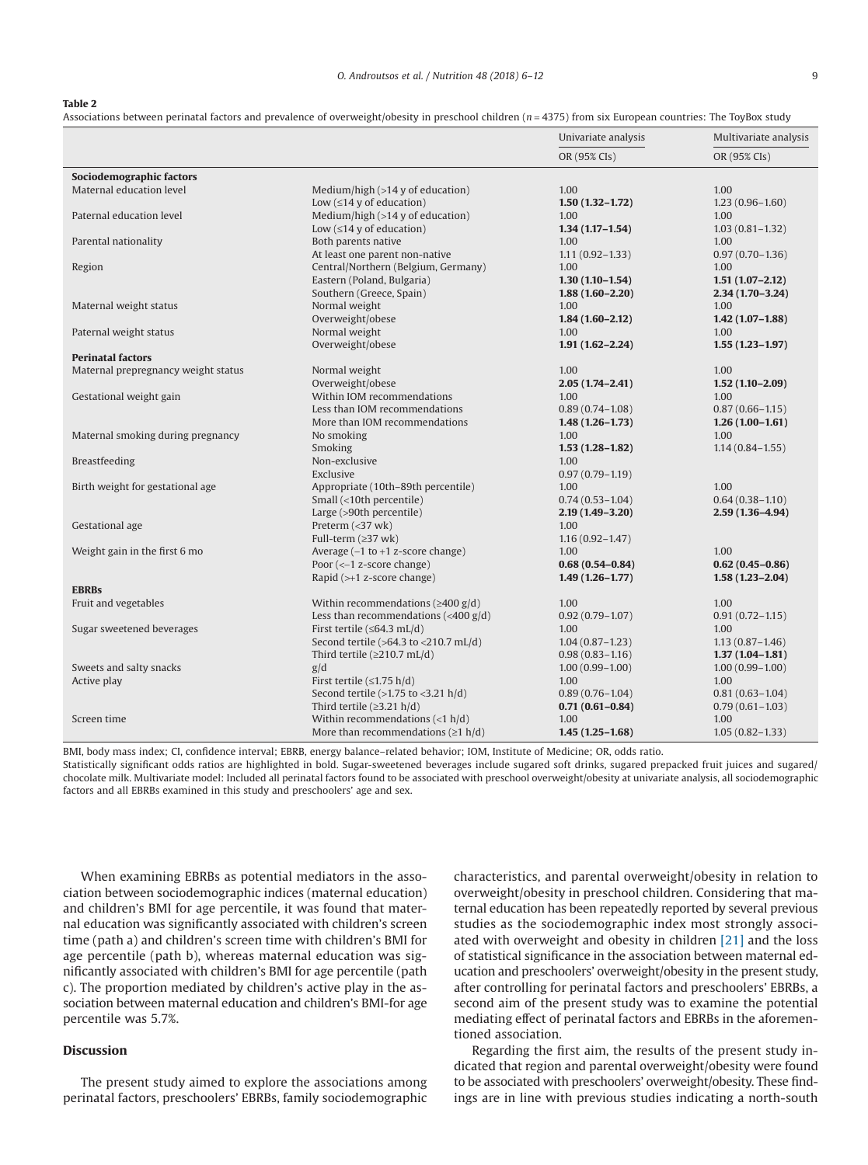<span id="page-3-0"></span>**Table 2**

Associations between perinatal factors and prevalence of overweight/obesity in preschool children (*n* = 4375) from six European countries: The ToyBox study

|                                     |                                               | Univariate analysis | Multivariate analysis<br>OR (95% CIs) |  |
|-------------------------------------|-----------------------------------------------|---------------------|---------------------------------------|--|
|                                     |                                               | OR (95% CIs)        |                                       |  |
| Sociodemographic factors            |                                               |                     |                                       |  |
| Maternal education level            | Medium/high $(>14$ y of education)            | 1.00                | 1.00                                  |  |
|                                     | Low $(\leq 14$ y of education)                | $1.50(1.32 - 1.72)$ | $1.23(0.96 - 1.60)$                   |  |
| Paternal education level            | Medium/high $(>14$ y of education)            | 1.00                | 1.00                                  |  |
|                                     | Low $(≤14 y of education)$                    | $1.34(1.17 - 1.54)$ | $1.03(0.81 - 1.32)$                   |  |
| Parental nationality                | Both parents native                           | 1.00                | 1.00                                  |  |
|                                     | At least one parent non-native                | $1.11(0.92 - 1.33)$ | $0.97(0.70 - 1.36)$                   |  |
| Region                              | Central/Northern (Belgium, Germany)           | 1.00                | 1.00                                  |  |
|                                     | Eastern (Poland, Bulgaria)                    | $1.30(1.10-1.54)$   | $1.51(1.07-2.12)$                     |  |
|                                     | Southern (Greece, Spain)                      | $1.88(1.60 - 2.20)$ | $2.34(1.70-3.24)$                     |  |
| Maternal weight status              | Normal weight                                 | 1.00                | 1.00                                  |  |
|                                     | Overweight/obese                              | $1.84(1.60 - 2.12)$ | $1.42(1.07 - 1.88)$                   |  |
| Paternal weight status              | Normal weight                                 | 1.00                | 1.00                                  |  |
|                                     | Overweight/obese                              | $1.91(1.62 - 2.24)$ | $1.55(1.23 - 1.97)$                   |  |
| <b>Perinatal factors</b>            |                                               |                     |                                       |  |
| Maternal prepregnancy weight status | Normal weight                                 | 1.00                | 1.00                                  |  |
|                                     | Overweight/obese                              | $2.05(1.74 - 2.41)$ | $1.52(1.10-2.09)$                     |  |
| Gestational weight gain             | Within IOM recommendations                    | 1.00                | 1.00                                  |  |
|                                     | Less than IOM recommendations                 | $0.89(0.74 - 1.08)$ | $0.87(0.66 - 1.15)$                   |  |
|                                     | More than IOM recommendations                 | $1.48(1.26 - 1.73)$ | $1.26(1.00-1.61)$                     |  |
| Maternal smoking during pregnancy   | No smoking                                    | 1.00                | 1.00                                  |  |
|                                     | Smoking                                       | $1.53(1.28 - 1.82)$ | $1.14(0.84 - 1.55)$                   |  |
| Breastfeeding                       | Non-exclusive                                 | 1.00                |                                       |  |
|                                     | Exclusive                                     | $0.97(0.79 - 1.19)$ |                                       |  |
| Birth weight for gestational age    | Appropriate (10th-89th percentile)            | 1.00                | 1.00                                  |  |
|                                     | Small (<10th percentile)                      | $0.74(0.53 - 1.04)$ | $0.64(0.38 - 1.10)$                   |  |
|                                     | Large (>90th percentile)                      | $2.19(1.49 - 3.20)$ | $2.59(1.36 - 4.94)$                   |  |
| Gestational age                     | Preterm $\left( < 37 \text{ wk} \right)$      | 1.00                |                                       |  |
|                                     | Full-term (≥37 wk)                            | $1.16(0.92 - 1.47)$ |                                       |  |
| Weight gain in the first 6 mo       | Average $(-1$ to $+1$ z-score change)         | 1.00                | 1.00                                  |  |
|                                     | Poor $(<-1$ z-score change)                   | $0.68(0.54 - 0.84)$ | $0.62(0.45 - 0.86)$                   |  |
|                                     | Rapid $(\rightarrow +1)$ z-score change)      | $1.49(1.26 - 1.77)$ | $1.58(1.23 - 2.04)$                   |  |
| <b>EBRBs</b>                        |                                               |                     |                                       |  |
| Fruit and vegetables                | Within recommendations ( $\geq$ 400 g/d)      | 1.00                | 1.00                                  |  |
|                                     | Less than recommendations $(400 \text{ g/d})$ | $0.92(0.79 - 1.07)$ | $0.91(0.72 - 1.15)$                   |  |
| Sugar sweetened beverages           | First tertile ( $\leq$ 64.3 mL/d)             | 1.00                | 1.00                                  |  |
|                                     | Second tertile (>64.3 to <210.7 mL/d)         | $1.04(0.87 - 1.23)$ | $1.13(0.87 - 1.46)$                   |  |
|                                     | Third tertile ( $\geq$ 210.7 mL/d)            | $0.98(0.83 - 1.16)$ | $1.37(1.04 - 1.81)$                   |  |
| Sweets and salty snacks             | g/d                                           | $1.00(0.99 - 1.00)$ | $1.00(0.99 - 1.00)$                   |  |
| Active play                         | First tertile $(\leq 1.75 \text{ h/d})$       | 1.00                | 1.00                                  |  |
|                                     | Second tertile $(>1.75$ to $<3.21$ h/d)       | $0.89(0.76 - 1.04)$ | $0.81(0.63 - 1.04)$                   |  |
|                                     | Third tertile $(\geq 3.21 h/d)$               | $0.71(0.61 - 0.84)$ | $0.79(0.61 - 1.03)$                   |  |
| Screen time                         | Within recommendations $(<1 h/d)$             | 1.00                | 1.00                                  |  |
|                                     | More than recommendations ( $\geq 1$ h/d)     | $1.45(1.25-1.68)$   | $1.05(0.82 - 1.33)$                   |  |
|                                     |                                               |                     |                                       |  |

BMI, body mass index; CI, confidence interval; EBRB, energy balance–related behavior; IOM, Institute of Medicine; OR, odds ratio.

Statistically significant odds ratios are highlighted in bold. Sugar-sweetened beverages include sugared soft drinks, sugared prepacked fruit juices and sugared/ chocolate milk. Multivariate model: Included all perinatal factors found to be associated with preschool overweight/obesity at univariate analysis, all sociodemographic factors and all EBRBs examined in this study and preschoolers' age and sex.

When examining EBRBs as potential mediators in the association between sociodemographic indices (maternal education) and children's BMI for age percentile, it was found that maternal education was significantly associated with children's screen time (path a) and children's screen time with children's BMI for age percentile (path b), whereas maternal education was significantly associated with children's BMI for age percentile (path c). The proportion mediated by children's active play in the association between maternal education and children's BMI-for age percentile was 5.7%.

# **Discussion**

The present study aimed to explore the associations among perinatal factors, preschoolers' EBRBs, family sociodemographic

characteristics, and parental overweight/obesity in relation to overweight/obesity in preschool children. Considering that maternal education has been repeatedly reported by several previous studies as the sociodemographic index most strongly associated with overweight and obesity in children [\[21\]](#page-6-13) and the loss of statistical significance in the association between maternal education and preschoolers' overweight/obesity in the present study, after controlling for perinatal factors and preschoolers' EBRBs, a second aim of the present study was to examine the potential mediating effect of perinatal factors and EBRBs in the aforementioned association.

Regarding the first aim, the results of the present study indicated that region and parental overweight/obesity were found to be associated with preschoolers' overweight/obesity. These findings are in line with previous studies indicating a north-south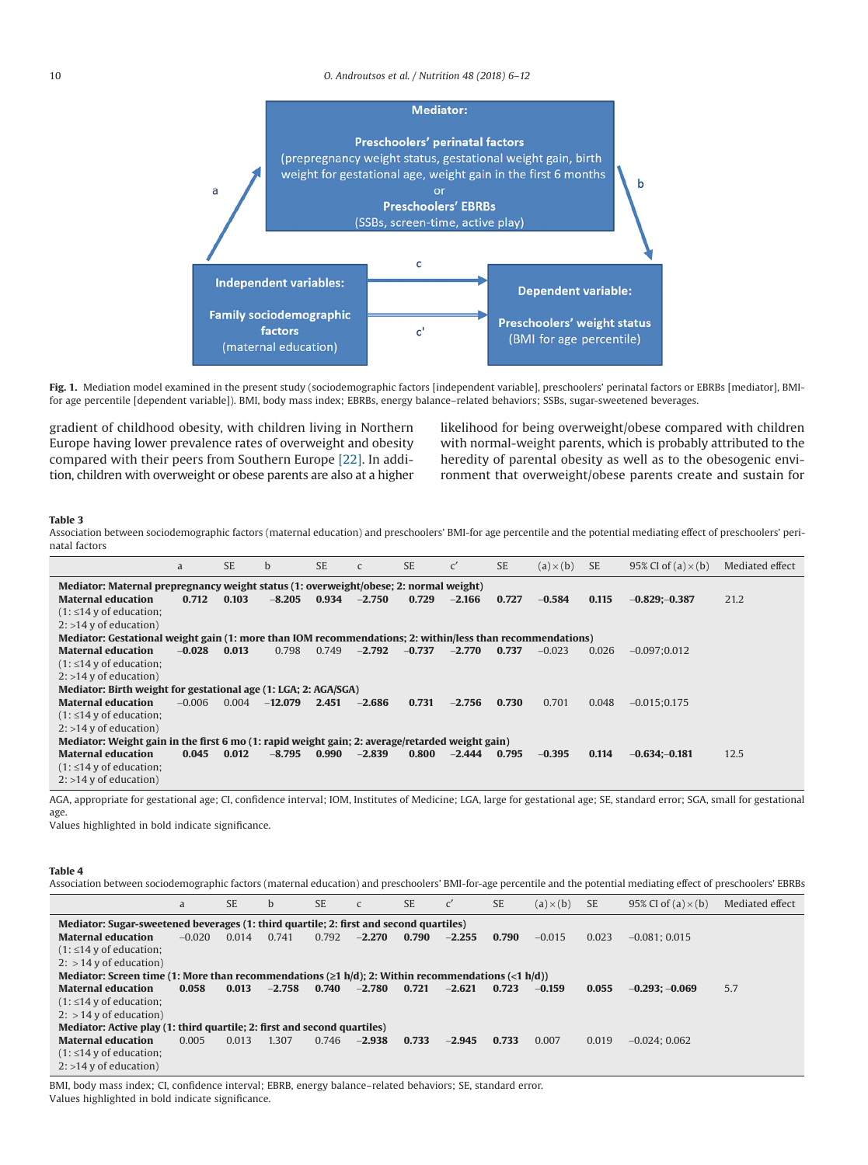

<span id="page-4-0"></span>Fig. 1. Mediation model examined in the present study (sociodemographic factors [independent variable], preschoolers' perinatal factors or EBRBs [mediator], BMIfor age percentile [dependent variable]). BMI, body mass index; EBRBs, energy balance–related behaviors; SSBs, sugar-sweetened beverages.

gradient of childhood obesity, with children living in Northern Europe having lower prevalence rates of overweight and obesity compared with their peers from Southern Europe [\[22\].](#page-6-14) In addition, children with overweight or obese parents are also at a higher likelihood for being overweight/obese compared with children with normal-weight parents, which is probably attributed to the heredity of parental obesity as well as to the obesogenic environment that overweight/obese parents create and sustain for

## <span id="page-4-1"></span>**Table 3**

Association between sociodemographic factors (maternal education) and preschoolers' BMI-for age percentile and the potential mediating effect of preschoolers' perinatal factors

|                                                                                                           | a        | <b>SE</b> | $\mathbf b$ | SE.   | $\mathsf{C}$ | <b>SE</b> | $\mathsf{C}'$ | <b>SE</b> | $(a) \times (b)$ | <b>SE</b> | 95% CI of $(a) \times (b)$ | Mediated effect |
|-----------------------------------------------------------------------------------------------------------|----------|-----------|-------------|-------|--------------|-----------|---------------|-----------|------------------|-----------|----------------------------|-----------------|
| Mediator: Maternal prepregnancy weight status (1: overweight/obese; 2: normal weight)                     |          |           |             |       |              |           |               |           |                  |           |                            |                 |
| <b>Maternal education</b>                                                                                 | 0.712    | 0.103     | $-8.205$    | 0.934 | $-2.750$     | 0.729     | $-2.166$      | 0.727     | $-0.584$         | 0.115     | $-0.829(-0.387)$           | 21.2            |
| $(1: \leq 14$ y of education;                                                                             |          |           |             |       |              |           |               |           |                  |           |                            |                 |
| $2:$ >14 y of education)                                                                                  |          |           |             |       |              |           |               |           |                  |           |                            |                 |
| Mediator: Gestational weight gain (1: more than IOM recommendations; 2: within/less than recommendations) |          |           |             |       |              |           |               |           |                  |           |                            |                 |
| <b>Maternal education</b>                                                                                 | $-0.028$ | 0.013     | 0.798       | 0.749 | $-2.792$     | $-0.737$  | $-2.770$      | 0.737     | $-0.023$         | 0.026     | $-0.097:0.012$             |                 |
| $(1: \leq 14$ y of education;                                                                             |          |           |             |       |              |           |               |           |                  |           |                            |                 |
| $2:$ >14 y of education)                                                                                  |          |           |             |       |              |           |               |           |                  |           |                            |                 |
| Mediator: Birth weight for gestational age (1: LGA; 2: AGA/SGA)                                           |          |           |             |       |              |           |               |           |                  |           |                            |                 |
| <b>Maternal education</b>                                                                                 | $-0.006$ | 0.004     | $-12.079$   | 2.451 | $-2.686$     | 0.731     | $-2.756$      | 0.730     | 0.701            | 0.048     | $-0.015:0.175$             |                 |
| $(1: \leq 14$ y of education;                                                                             |          |           |             |       |              |           |               |           |                  |           |                            |                 |
| $2:$ >14 y of education)                                                                                  |          |           |             |       |              |           |               |           |                  |           |                            |                 |
| Mediator: Weight gain in the first 6 mo (1: rapid weight gain; 2: average/retarded weight gain)           |          |           |             |       |              |           |               |           |                  |           |                            |                 |
| <b>Maternal education</b>                                                                                 | 0.045    | 0.012     | $-8.795$    | 0.990 | $-2.839$     | 0.800     | $-2.444$      | 0.795     | $-0.395$         | 0.114     | $-0.634:-0.181$            | 12.5            |
| $(1: \leq 14$ y of education;                                                                             |          |           |             |       |              |           |               |           |                  |           |                            |                 |
| $2:$ >14 y of education)                                                                                  |          |           |             |       |              |           |               |           |                  |           |                            |                 |

AGA, appropriate for gestational age; CI, confidence interval; IOM, Institutes of Medicine; LGA, large for gestational age; SE, standard error; SGA, small for gestational age.

Values highlighted in bold indicate significance.

## <span id="page-4-2"></span>**Table 4**

Association between sociodemographic factors (maternal education) and preschoolers' BMI-for-age percentile and the potential mediating effect of preschoolers' EBRBs

|                                                                                                          | a        | <b>SE</b> | b        | <b>SE</b> | $\mathsf{C}$ | <b>SE</b> | $\mathsf{C}'$ | <b>SE</b> | $(a) \times (b)$ | <b>SE</b> | 95% CI of $(a) \times (b)$ | Mediated effect |
|----------------------------------------------------------------------------------------------------------|----------|-----------|----------|-----------|--------------|-----------|---------------|-----------|------------------|-----------|----------------------------|-----------------|
| Mediator: Sugar-sweetened beverages (1: third quartile; 2: first and second quartiles)                   |          |           |          |           |              |           |               |           |                  |           |                            |                 |
| <b>Maternal education</b>                                                                                | $-0.020$ | 0.014     | 0.741    | 0.792     | $-2.270$     | 0.790     | $-2.255$      | 0.790     | $-0.015$         | 0.023     | $-0.081:0.015$             |                 |
| $(1: \leq 14$ y of education;                                                                            |          |           |          |           |              |           |               |           |                  |           |                            |                 |
| $2:$ > 14 y of education)                                                                                |          |           |          |           |              |           |               |           |                  |           |                            |                 |
| Mediator: Screen time (1: More than recommendations ( $\geq 1$ h/d); 2: Within recommendations (<1 h/d)) |          |           |          |           |              |           |               |           |                  |           |                            |                 |
| <b>Maternal education</b>                                                                                | 0.058    | 0.013     | $-2.758$ | 0.740     | $-2.780$     | 0.721     | $-2.621$      | 0.723     | $-0.159$         | 0.055     | $-0.293: -0.069$           | 5.7             |
| $(1: \leq 14$ y of education;                                                                            |          |           |          |           |              |           |               |           |                  |           |                            |                 |
| $2:$ > 14 y of education)                                                                                |          |           |          |           |              |           |               |           |                  |           |                            |                 |
| Mediator: Active play (1: third quartile; 2: first and second quartiles)                                 |          |           |          |           |              |           |               |           |                  |           |                            |                 |
| <b>Maternal education</b>                                                                                | 0.005    | 0.013     | 1.307    | 0.746     | $-2.938$     | 0.733     | $-2.945$      | 0.733     | 0.007            | 0.019     | $-0.024:0.062$             |                 |
| $(1: \leq 14$ y of education;                                                                            |          |           |          |           |              |           |               |           |                  |           |                            |                 |
| $2:$ >14 y of education)                                                                                 |          |           |          |           |              |           |               |           |                  |           |                            |                 |

BMI, body mass index; CI, confidence interval; EBRB, energy balance–related behaviors; SE, standard error. Values highlighted in bold indicate significance.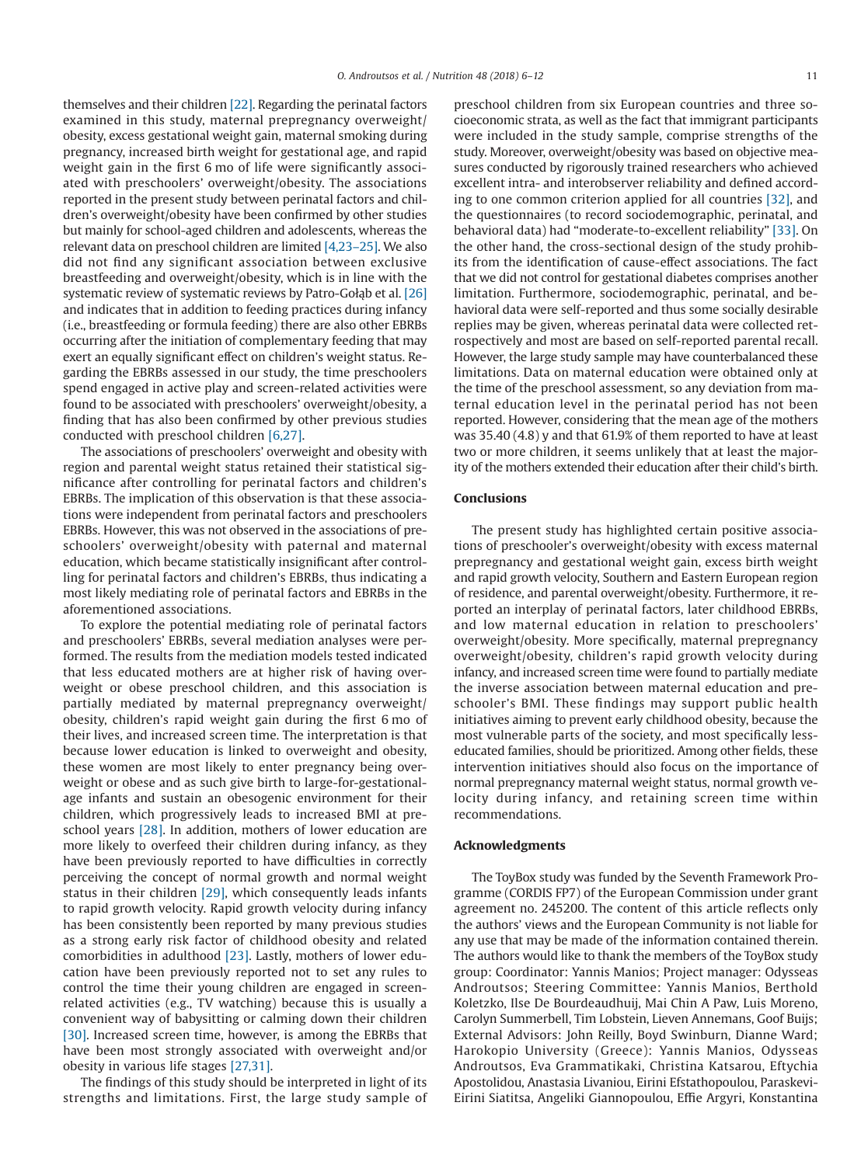themselves and their children [\[22\].](#page-6-14) Regarding the perinatal factors examined in this study, maternal prepregnancy overweight/ obesity, excess gestational weight gain, maternal smoking during pregnancy, increased birth weight for gestational age, and rapid weight gain in the first 6 mo of life were significantly associated with preschoolers' overweight/obesity. The associations reported in the present study between perinatal factors and children's overweight/obesity have been confirmed by other studies but mainly for school-aged children and adolescents, whereas the relevant data on preschool children are limited [\[4,23–25\].](#page-6-1) We also did not find any significant association between exclusive breastfeeding and overweight/obesity, which is in line with the systematic review of systematic reviews by Patro-Gołab et al. [\[26\]](#page-6-15) and indicates that in addition to feeding practices during infancy (i.e., breastfeeding or formula feeding) there are also other EBRBs occurring after the initiation of complementary feeding that may exert an equally significant effect on children's weight status. Regarding the EBRBs assessed in our study, the time preschoolers spend engaged in active play and screen-related activities were found to be associated with preschoolers' overweight/obesity, a finding that has also been confirmed by other previous studies conducted with preschool children [\[6,27\].](#page-6-6)

The associations of preschoolers' overweight and obesity with region and parental weight status retained their statistical significance after controlling for perinatal factors and children's EBRBs. The implication of this observation is that these associations were independent from perinatal factors and preschoolers EBRBs. However, this was not observed in the associations of preschoolers' overweight/obesity with paternal and maternal education, which became statistically insignificant after controlling for perinatal factors and children's EBRBs, thus indicating a most likely mediating role of perinatal factors and EBRBs in the aforementioned associations.

To explore the potential mediating role of perinatal factors and preschoolers' EBRBs, several mediation analyses were performed. The results from the mediation models tested indicated that less educated mothers are at higher risk of having overweight or obese preschool children, and this association is partially mediated by maternal prepregnancy overweight/ obesity, children's rapid weight gain during the first 6 mo of their lives, and increased screen time. The interpretation is that because lower education is linked to overweight and obesity, these women are most likely to enter pregnancy being overweight or obese and as such give birth to large-for-gestationalage infants and sustain an obesogenic environment for their children, which progressively leads to increased BMI at pre-school years [\[28\].](#page-6-16) In addition, mothers of lower education are more likely to overfeed their children during infancy, as they have been previously reported to have difficulties in correctly perceiving the concept of normal growth and normal weight status in their children [\[29\],](#page-6-17) which consequently leads infants to rapid growth velocity. Rapid growth velocity during infancy has been consistently been reported by many previous studies as a strong early risk factor of childhood obesity and related comorbidities in adulthood [\[23\].](#page-6-18) Lastly, mothers of lower education have been previously reported not to set any rules to control the time their young children are engaged in screenrelated activities (e.g., TV watching) because this is usually a convenient way of babysitting or calming down their children [\[30\].](#page-6-19) Increased screen time, however, is among the EBRBs that have been most strongly associated with overweight and/or obesity in various life stages [\[27,31\].](#page-6-20)

The findings of this study should be interpreted in light of its strengths and limitations. First, the large study sample of

preschool children from six European countries and three socioeconomic strata, as well as the fact that immigrant participants were included in the study sample, comprise strengths of the study. Moreover, overweight/obesity was based on objective measures conducted by rigorously trained researchers who achieved excellent intra- and interobserver reliability and defined according to one common criterion applied for all countries [\[32\],](#page-6-21) and the questionnaires (to record sociodemographic, perinatal, and behavioral data) had "moderate-to-excellent reliability" [\[33\].](#page-6-22) On the other hand, the cross-sectional design of the study prohibits from the identification of cause-effect associations. The fact that we did not control for gestational diabetes comprises another limitation. Furthermore, sociodemographic, perinatal, and behavioral data were self-reported and thus some socially desirable replies may be given, whereas perinatal data were collected retrospectively and most are based on self-reported parental recall. However, the large study sample may have counterbalanced these limitations. Data on maternal education were obtained only at the time of the preschool assessment, so any deviation from maternal education level in the perinatal period has not been reported. However, considering that the mean age of the mothers was 35.40 (4.8) y and that 61.9% of them reported to have at least two or more children, it seems unlikely that at least the majority of the mothers extended their education after their child's birth.

# **Conclusions**

The present study has highlighted certain positive associations of preschooler's overweight/obesity with excess maternal prepregnancy and gestational weight gain, excess birth weight and rapid growth velocity, Southern and Eastern European region of residence, and parental overweight/obesity. Furthermore, it reported an interplay of perinatal factors, later childhood EBRBs, and low maternal education in relation to preschoolers' overweight/obesity. More specifically, maternal prepregnancy overweight/obesity, children's rapid growth velocity during infancy, and increased screen time were found to partially mediate the inverse association between maternal education and preschooler's BMI. These findings may support public health initiatives aiming to prevent early childhood obesity, because the most vulnerable parts of the society, and most specifically lesseducated families, should be prioritized. Among other fields, these intervention initiatives should also focus on the importance of normal prepregnancy maternal weight status, normal growth velocity during infancy, and retaining screen time within recommendations.

# **Acknowledgments**

The ToyBox study was funded by the Seventh Framework Programme (CORDIS FP7) of the European Commission under grant agreement no. 245200. The content of this article reflects only the authors' views and the European Community is not liable for any use that may be made of the information contained therein. The authors would like to thank the members of the ToyBox study group: Coordinator: Yannis Manios; Project manager: Odysseas Androutsos; Steering Committee: Yannis Manios, Berthold Koletzko, Ilse De Bourdeaudhuij, Mai Chin A Paw, Luis Moreno, Carolyn Summerbell, Tim Lobstein, Lieven Annemans, Goof Buijs; External Advisors: John Reilly, Boyd Swinburn, Dianne Ward; Harokopio University (Greece): Yannis Manios, Odysseas Androutsos, Eva Grammatikaki, Christina Katsarou, Eftychia Apostolidou, Anastasia Livaniou, Eirini Efstathopoulou, Paraskevi-Eirini Siatitsa, Angeliki Giannopoulou, Effie Argyri, Konstantina